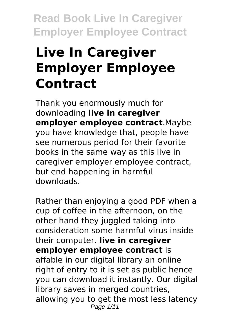# **Live In Caregiver Employer Employee Contract**

Thank you enormously much for downloading **live in caregiver employer employee contract**.Maybe you have knowledge that, people have see numerous period for their favorite books in the same way as this live in caregiver employer employee contract, but end happening in harmful downloads.

Rather than enjoying a good PDF when a cup of coffee in the afternoon, on the other hand they juggled taking into consideration some harmful virus inside their computer. **live in caregiver employer employee contract** is affable in our digital library an online right of entry to it is set as public hence you can download it instantly. Our digital library saves in merged countries, allowing you to get the most less latency Page 1/11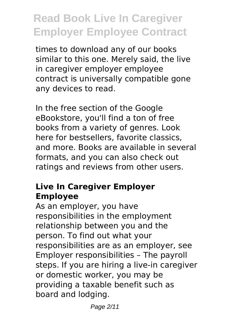times to download any of our books similar to this one. Merely said, the live in caregiver employer employee contract is universally compatible gone any devices to read.

In the free section of the Google eBookstore, you'll find a ton of free books from a variety of genres. Look here for bestsellers, favorite classics, and more. Books are available in several formats, and you can also check out ratings and reviews from other users.

# **Live In Caregiver Employer Employee**

As an employer, you have responsibilities in the employment relationship between you and the person. To find out what your responsibilities are as an employer, see Employer responsibilities – The payroll steps. If you are hiring a live-in caregiver or domestic worker, you may be providing a taxable benefit such as board and lodging.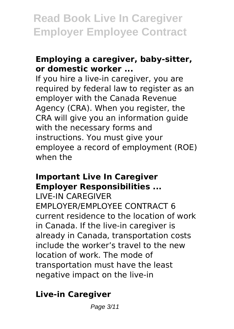### **Employing a caregiver, baby-sitter, or domestic worker ...**

If you hire a live-in caregiver, you are required by federal law to register as an employer with the Canada Revenue Agency (CRA). When you register, the CRA will give you an information guide with the necessary forms and instructions. You must give your employee a record of employment (ROE) when the

#### **Important Live In Caregiver Employer Responsibilities ...**

LIVE-IN CAREGIVER EMPLOYER/EMPLOYEE CONTRACT 6 current residence to the location of work in Canada. If the live-in caregiver is already in Canada, transportation costs include the worker's travel to the new location of work. The mode of transportation must have the least negative impact on the live-in

# **Live-in Caregiver**

Page 3/11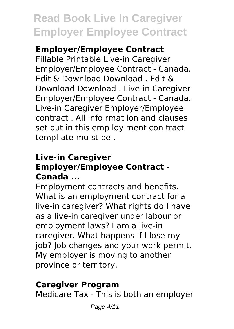## **Employer/Employee Contract**

Fillable Printable Live-in Caregiver Employer/Employee Contract - Canada. Edit & Download Download . Edit & Download Download . Live-in Caregiver Employer/Employee Contract - Canada. Live-in Caregiver Employer/Employee contract . All info rmat ion and clauses set out in this emp loy ment con tract templ ate mu st be .

### **Live-in Caregiver Employer/Employee Contract - Canada ...**

Employment contracts and benefits. What is an employment contract for a live-in caregiver? What rights do I have as a live-in caregiver under labour or employment laws? I am a live-in caregiver. What happens if I lose my job? Job changes and your work permit. My employer is moving to another province or territory.

### **Caregiver Program**

Medicare Tax - This is both an employer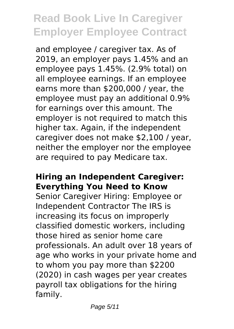and employee / caregiver tax. As of 2019, an employer pays 1.45% and an employee pays 1.45%. (2.9% total) on all employee earnings. If an employee earns more than \$200,000 / year, the employee must pay an additional 0.9% for earnings over this amount. The employer is not required to match this higher tax. Again, if the independent caregiver does not make \$2,100 / year, neither the employer nor the employee are required to pay Medicare tax.

#### **Hiring an Independent Caregiver: Everything You Need to Know**

Senior Caregiver Hiring: Employee or Independent Contractor The IRS is increasing its focus on improperly classified domestic workers, including those hired as senior home care professionals. An adult over 18 years of age who works in your private home and to whom you pay more than \$2200 (2020) in cash wages per year creates payroll tax obligations for the hiring family.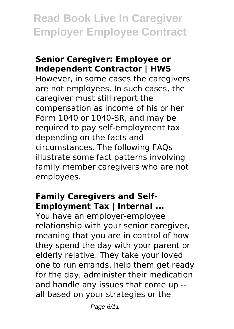#### **Senior Caregiver: Employee or Independent Contractor | HWS**

However, in some cases the caregivers are not employees. In such cases, the caregiver must still report the compensation as income of his or her Form 1040 or 1040-SR, and may be required to pay self-employment tax depending on the facts and circumstances. The following FAQs illustrate some fact patterns involving family member caregivers who are not employees.

# **Family Caregivers and Self-Employment Tax | Internal ...**

You have an employer-employee relationship with your senior caregiver, meaning that you are in control of how they spend the day with your parent or elderly relative. They take your loved one to run errands, help them get ready for the day, administer their medication and handle any issues that come up - all based on your strategies or the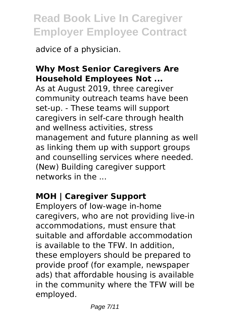advice of a physician.

# **Why Most Senior Caregivers Are Household Employees Not ...**

As at August 2019, three caregiver community outreach teams have been set-up. - These teams will support caregivers in self-care through health and wellness activities, stress management and future planning as well as linking them up with support groups and counselling services where needed. (New) Building caregiver support networks in the ...

# **MOH | Caregiver Support**

Employers of low-wage in-home caregivers, who are not providing live-in accommodations, must ensure that suitable and affordable accommodation is available to the TFW. In addition, these employers should be prepared to provide proof (for example, newspaper ads) that affordable housing is available in the community where the TFW will be employed.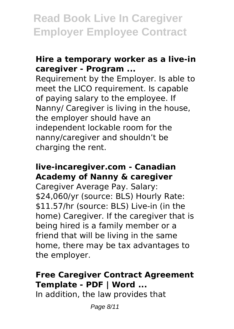#### **Hire a temporary worker as a live-in caregiver - Program ...**

Requirement by the Employer. Is able to meet the LICO requirement. Is capable of paying salary to the employee. If Nanny/ Caregiver is living in the house, the employer should have an independent lockable room for the nanny/caregiver and shouldn't be charging the rent.

#### **live-incaregiver.com - Canadian Academy of Nanny & caregiver**

Caregiver Average Pay. Salary: \$24,060/yr (source: BLS) Hourly Rate: \$11.57/hr (source: BLS) Live-in (in the home) Caregiver. If the caregiver that is being hired is a family member or a friend that will be living in the same home, there may be tax advantages to the employer.

### **Free Caregiver Contract Agreement Template - PDF | Word ...**

In addition, the law provides that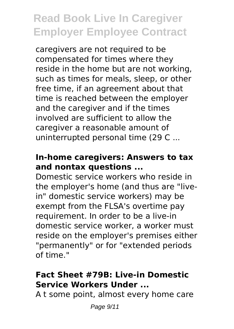caregivers are not required to be compensated for times where they reside in the home but are not working, such as times for meals, sleep, or other free time, if an agreement about that time is reached between the employer and the caregiver and if the times involved are sufficient to allow the caregiver a reasonable amount of uninterrupted personal time (29 C ...

### **In-home caregivers: Answers to tax and nontax questions ...**

Domestic service workers who reside in the employer's home (and thus are "livein" domestic service workers) may be exempt from the FLSA's overtime pay requirement. In order to be a live-in domestic service worker, a worker must reside on the employer's premises either "permanently" or for "extended periods of time."

### **Fact Sheet #79B: Live-in Domestic Service Workers Under ...**

A t some point, almost every home care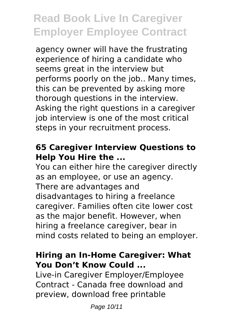agency owner will have the frustrating experience of hiring a candidate who seems great in the interview but performs poorly on the job.. Many times, this can be prevented by asking more thorough questions in the interview. Asking the right questions in a caregiver job interview is one of the most critical steps in your recruitment process.

### **65 Caregiver Interview Questions to Help You Hire the ...**

You can either hire the caregiver directly as an employee, or use an agency. There are advantages and disadvantages to hiring a freelance caregiver. Families often cite lower cost as the major benefit. However, when hiring a freelance caregiver, bear in mind costs related to being an employer.

#### **Hiring an In-Home Caregiver: What You Don't Know Could ...**

Live-in Caregiver Employer/Employee Contract - Canada free download and preview, download free printable